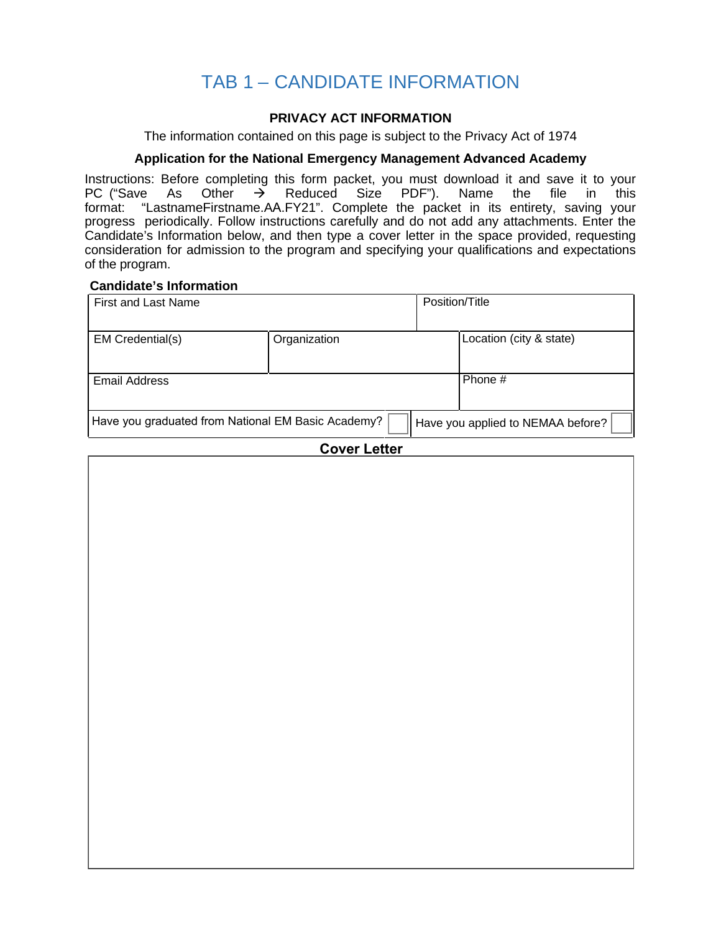# TAB 1 - CANDIDATE INFORMATION

### **PRIVACY ACT INFORMATION**

The information contained on this page is subject to the Privacy Act of 1974

#### **Application for the National Emergency Management Advanced Academy**

Instructions: Before completing this form packet, you must download it and save it to your PC ("Save As Other  $\rightarrow$  Reduced Size PDF"). Name the file in this Reduced Size PDF"). format: "LastnameFirstname.AA.FY21". Complete the packet in its entirety, saving your progress periodically. Follow instructions carefully and do not add any attachments. Enter the Candidate's Information below, and then type a cover letter in the space provided, requesting consideration for admission to the program and specifying your qualifications and expectations of the program.

#### **Candidate's Information**

| First and Last Name                                                                     |              | Position/Title |                         |
|-----------------------------------------------------------------------------------------|--------------|----------------|-------------------------|
| EM Credential(s)                                                                        | Organization |                | Location (city & state) |
| Email Address                                                                           |              |                | Phone #                 |
| Have you graduated from National EM Basic Academy?<br>Have you applied to NEMAA before? |              |                |                         |

#### **Cover Letter**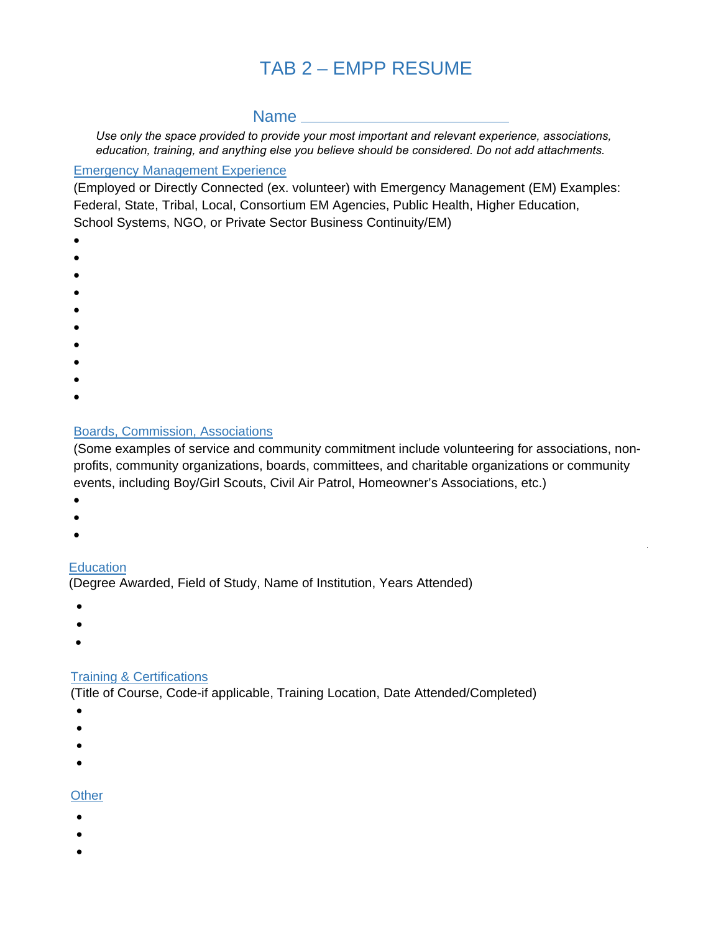# TAB 2 – EMPP RESUME

### Name

*Use only the space provided to provide your most important and relevant experience, associations, education, training, and anything else you believe should be considered. Do not add attachments.*

#### Emergency Management Experience

(Employed or Directly Connected (ex. volunteer) with Emergency Management (EM) Examples: Federal, State, Tribal, Local, Consortium EM Agencies, Public Health, Higher Education, School Systems, NGO, or Private Sector Business Continuity/EM)

- •
- •
- •
- 
- •
- •
- •
- •
- •
- •
- •

# Boards, Commission, Associations

(Some examples of service and community commitment include volunteering for associations, nonprofits, community organizations, boards, committees, and charitable organizations or community events, including Boy/Girl Scouts, Civil Air Patrol, Homeowner's Associations, etc.)

- •
- •
- •

# **Education**

(Degree Awarded, Field of Study, Name of Institution, Years Attended)

- •
- •
- •

# Training & Certifications

(Title of Course, Code-if applicable, Training Location, Date Attended/Completed)

- •
- •
- •
- •
- 

## **Other**

- •
- •
- •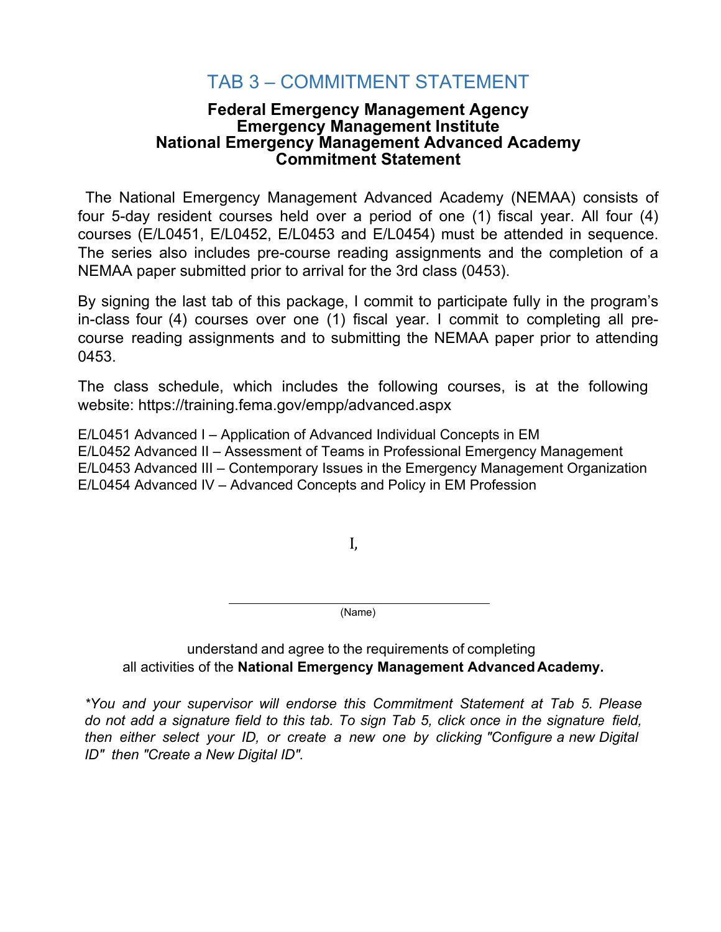# TAB 3 – COMMITMENT STATEMENT

## **Federal Emergency Management Agency Emergency Management Institute National Emergency Management Advanced Academy Commitment Statement**

The National Emergency Management Advanced Academy (NEMAA) consists of four 5-day resident courses held over a period of one (1) fiscal year. All four (4) courses (E/L0451, E/L0452, E/L0453 and E/L0454) must be attended in sequence. The series also includes pre-course reading assignments and the completion of a NEMAA paper submitted prior to arrival for the 3rd class (0453).

By signing the last tab of this package, I commit to participate fully in the program's in-class four (4) courses over one (1) fiscal year. I commit to completing all precourse reading assignments and to submitting the NEMAA paper prior to attending 0453.

The class schedule, which includes the following courses, is at the following website: https://training.fema.gov/empp/advanced.aspx

E/L0451 Advanced I – Application of Advanced Individual Concepts in EM E/L0452 Advanced II – Assessment of Teams in Professional Emergency Management E/L0453 Advanced III – Contemporary Issues in the Emergency Management Organization E/L0454 Advanced IV – Advanced Concepts and Policy in EM Profession

I,

(Name)

## understand and agree to the requirements of completing all activities of the **National Emergency Management Advanced Academy.**

*\*You and your supervisor will endorse this Commitment Statement at Tab 5. Please* do not add a signature field to this tab. To sign Tab 5, click once in the signature field, *then either select your ID, or create a new one by clicking "Configure a new Digital ID" then "Create a New Digital ID".*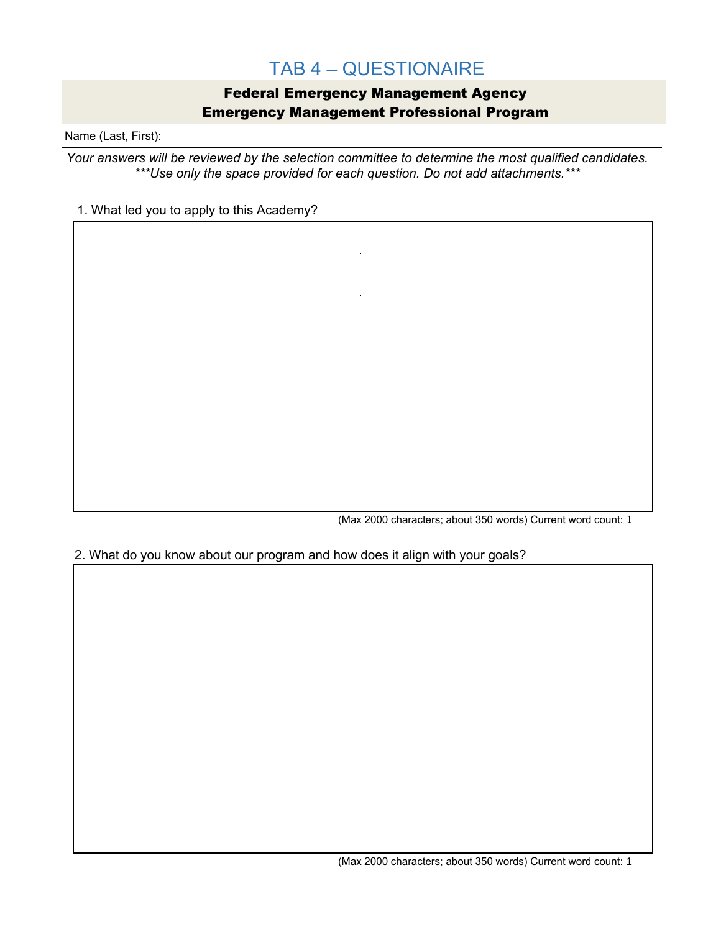# TAB 4 – QUESTIONAIRE

## Federal Emergency Management Agency Emergency Management Professional Program

Name (Last, First):

*Your answers will be reviewed by the selection committee to determine the most qualified candidates. \*\*\*Use only the space provided for each question. Do not add attachments.\*\*\**

#### 1. What led you to apply to this Academy?

(Max 2000 characters; about 350 words) Current word count: 1

#### 2. What do you know about our program and how does it align with your goals?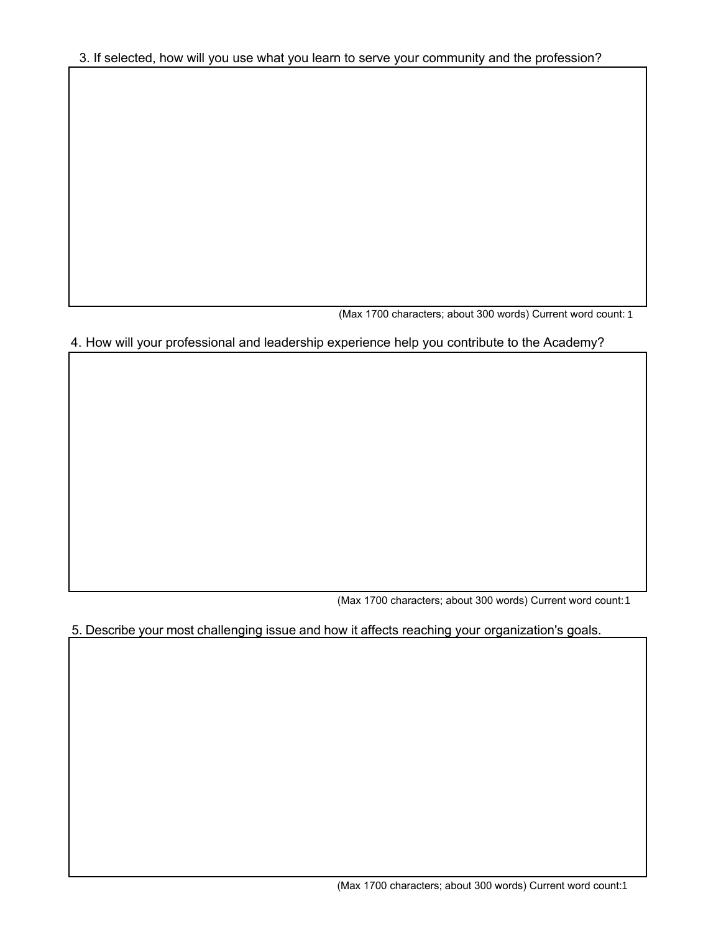(Max 1700 characters; about 300 words) Current word count: 1

## 4. How will your professional and leadership experience help you contribute to the Academy?

(Max 1700 characters; about 300 words) Current word count: 1

## 5. Describe your most challenging issue and how it affects reaching your organization's goals.